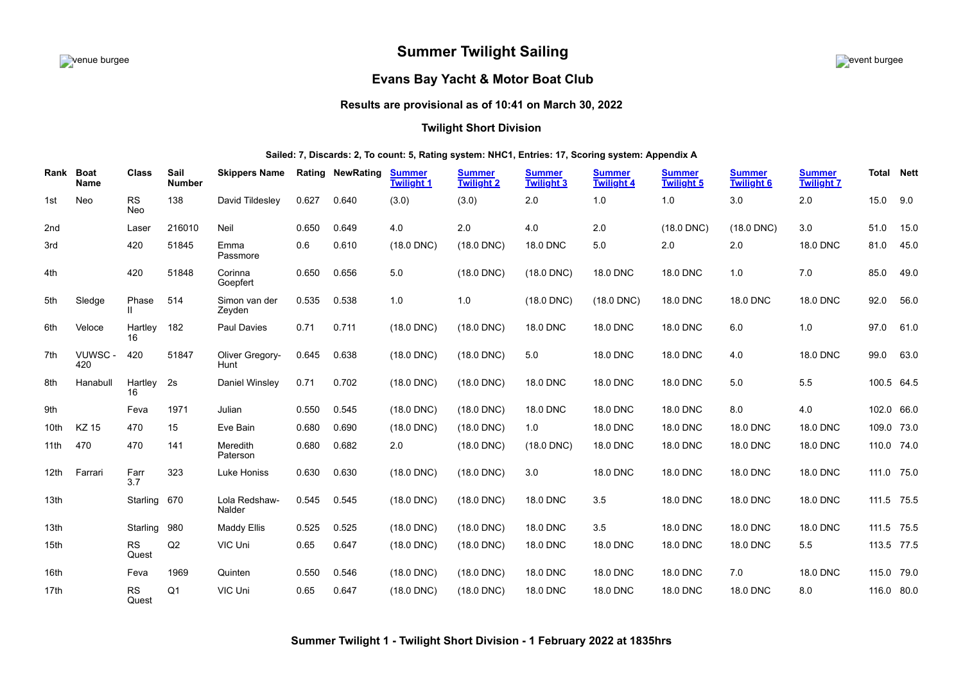# **Summer Twilight Sailing**



## **Evans Bay Yacht & Motor Boat Club**

# **Results are provisional as of 10:41 on March 30, 2022**

## **Twilight Short Division**

## **Sailed: 7, Discards: 2, To count: 5, Rating system: NHC1, Entries: 17, Scoring system: Appendix A**

<span id="page-0-0"></span>

| Rank | <b>Boat</b><br><b>Name</b> | <b>Class</b>       | Sail<br><b>Number</b> | <b>Skippers Name</b>    |       | <b>Rating NewRating</b> | <b>Summer</b><br><b>Twilight 1</b> | <b>Summer</b><br><b>Twilight 2</b> | <b>Summer</b><br><b>Twilight 3</b> | <b>Summer</b><br><b>Twilight 4</b> | <b>Summer</b><br><b>Twilight 5</b> | <b>Summer</b><br><b>Twilight 6</b> | <b>Summer</b><br><b>Twilight 7</b> | <b>Total</b> | <b>Nett</b> |
|------|----------------------------|--------------------|-----------------------|-------------------------|-------|-------------------------|------------------------------------|------------------------------------|------------------------------------|------------------------------------|------------------------------------|------------------------------------|------------------------------------|--------------|-------------|
| 1st  | Neo                        | <b>RS</b><br>Neo   | 138                   | David Tildesley         | 0.627 | 0.640                   | (3.0)                              | (3.0)                              | 2.0                                | 1.0                                | 1.0                                | 3.0                                | 2.0                                | 15.0         | 9.0         |
| 2nd  |                            | Laser              | 216010                | Neil                    | 0.650 | 0.649                   | 4.0                                | 2.0                                | 4.0                                | 2.0                                | $(18.0$ DNC)                       | $(18.0$ DNC)                       | 3.0                                | 51.0         | 15.0        |
| 3rd  |                            | 420                | 51845                 | Emma<br>Passmore        | 0.6   | 0.610                   | $(18.0$ DNC)                       | $(18.0$ DNC)                       | 18.0 DNC                           | 5.0                                | 2.0                                | 2.0                                | <b>18.0 DNC</b>                    | 81.0         | 45.0        |
| 4th  |                            | 420                | 51848                 | Corinna<br>Goepfert     | 0.650 | 0.656                   | 5.0                                | $(18.0$ DNC)                       | $(18.0$ DNC)                       | 18.0 DNC                           | <b>18.0 DNC</b>                    | 1.0                                | 7.0                                | 85.0         | 49.0        |
| 5th  | Sledge                     | Phase<br>Ш         | 514                   | Simon van der<br>Zeyden | 0.535 | 0.538                   | 1.0                                | 1.0                                | $(18.0$ DNC)                       | $(18.0$ DNC)                       | <b>18.0 DNC</b>                    | 18.0 DNC                           | 18.0 DNC                           | 92.0         | 56.0        |
| 6th  | Veloce                     | Hartlev<br>16      | 182                   | Paul Davies             | 0.71  | 0.711                   | $(18.0$ DNC)                       | $(18.0$ DNC)                       | 18.0 DNC                           | 18.0 DNC                           | 18.0 DNC                           | 6.0                                | 1.0                                | 97.0         | 61.0        |
| 7th  | VUWSC-<br>420              | 420                | 51847                 | Oliver Gregory-<br>Hunt | 0.645 | 0.638                   | $(18.0$ DNC)                       | $(18.0$ DNC)                       | 5.0                                | 18.0 DNC                           | <b>18.0 DNC</b>                    | 4.0                                | <b>18.0 DNC</b>                    | 99.0         | 63.0        |
| 8th  | Hanabull                   | Hartley<br>16      | 2s                    | Daniel Winsley          | 0.71  | 0.702                   | $(18.0$ DNC)                       | $(18.0$ DNC)                       | 18.0 DNC                           | 18.0 DNC                           | <b>18.0 DNC</b>                    | 5.0                                | 5.5                                | 100.5 64.5   |             |
| 9th  |                            | Feva               | 1971                  | Julian                  | 0.550 | 0.545                   | $(18.0$ DNC)                       | $(18.0$ DNC)                       | 18.0 DNC                           | 18.0 DNC                           | 18.0 DNC                           | 8.0                                | 4.0                                | 102.0 66.0   |             |
| 10th | <b>KZ 15</b>               | 470                | 15                    | Eve Bain                | 0.680 | 0.690                   | $(18.0$ DNC)                       | $(18.0$ DNC)                       | 1.0                                | 18.0 DNC                           | <b>18.0 DNC</b>                    | 18.0 DNC                           | <b>18.0 DNC</b>                    | 109.0 73.0   |             |
| 11th | 470                        | 470                | 141                   | Meredith<br>Paterson    | 0.680 | 0.682                   | 2.0                                | $(18.0$ DNC)                       | $(18.0$ DNC)                       | 18.0 DNC                           | 18.0 DNC                           | 18.0 DNC                           | <b>18.0 DNC</b>                    | 110.0 74.0   |             |
| 12th | Farrari                    | Farr<br>3.7        | 323                   | Luke Honiss             | 0.630 | 0.630                   | $(18.0$ DNC)                       | $(18.0$ DNC)                       | 3.0                                | 18.0 DNC                           | <b>18.0 DNC</b>                    | 18.0 DNC                           | <b>18.0 DNC</b>                    | 111.0 75.0   |             |
| 13th |                            | Starling           | 670                   | Lola Redshaw-<br>Nalder | 0.545 | 0.545                   | $(18.0$ DNC)                       | $(18.0$ DNC)                       | 18.0 DNC                           | 3.5                                | <b>18.0 DNC</b>                    | 18.0 DNC                           | <b>18.0 DNC</b>                    | 111.5 75.5   |             |
| 13th |                            | Starling           | 980                   | Maddy Ellis             | 0.525 | 0.525                   | $(18.0$ DNC)                       | $(18.0$ DNC)                       | 18.0 DNC                           | 3.5                                | 18.0 DNC                           | 18.0 DNC                           | 18.0 DNC                           | 111.5 75.5   |             |
| 15th |                            | <b>RS</b><br>Quest | Q2                    | VIC Uni                 | 0.65  | 0.647                   | $(18.0$ DNC)                       | $(18.0$ DNC)                       | 18.0 DNC                           | 18.0 DNC                           | <b>18.0 DNC</b>                    | 18.0 DNC                           | 5.5                                | 113.5 77.5   |             |
| 16th |                            | Feva               | 1969                  | Quinten                 | 0.550 | 0.546                   | $(18.0$ DNC)                       | $(18.0$ DNC)                       | <b>18.0 DNC</b>                    | 18.0 DNC                           | 18.0 DNC                           | 7.0                                | <b>18.0 DNC</b>                    | 115.0 79.0   |             |
| 17th |                            | <b>RS</b><br>Quest | Q <sub>1</sub>        | VIC Uni                 | 0.65  | 0.647                   | $(18.0$ DNC)                       | $(18.0$ DNC)                       | <b>18.0 DNC</b>                    | 18.0 DNC                           | <b>18.0 DNC</b>                    | <b>18.0 DNC</b>                    | 8.0                                | 116.0 80.0   |             |